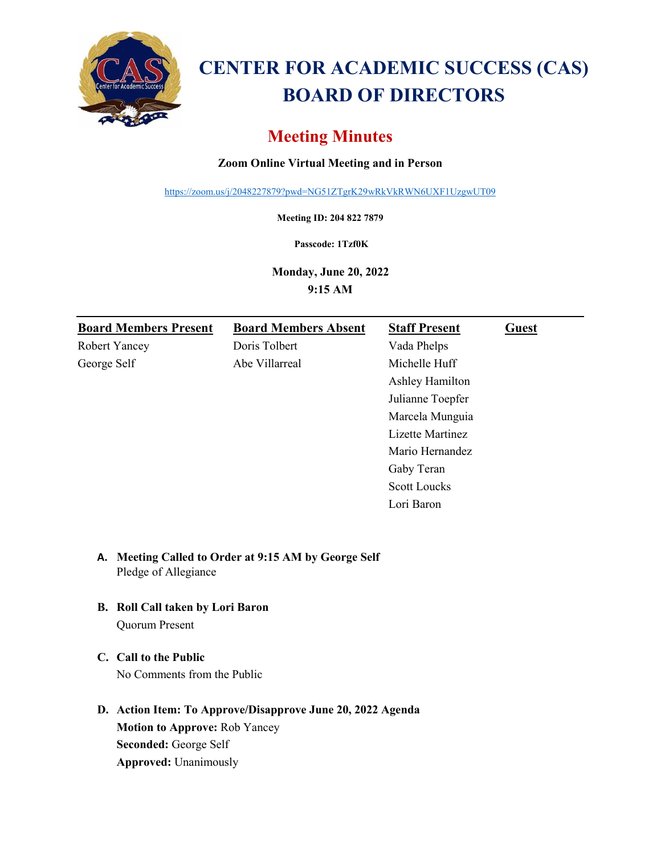

# **CENTER FOR ACADEMIC SUCCESS (CAS) BOARD OF DIRECTORS**

# **Meeting Minutes**

# **Zoom Online Virtual Meeting and in Person**

<https://zoom.us/j/2048227879?pwd=NG51ZTgrK29wRkVkRWN6UXF1UzgwUT09>

**Meeting ID: 204 822 7879**

**Passcode: 1Tzf0K**

**Monday, June 20, 2022 9:15 AM** 

| <b>Board Members Present</b> | <b>Board Members Absent</b> | <b>Staff Present</b>    | Guest |
|------------------------------|-----------------------------|-------------------------|-------|
| <b>Robert Yancey</b>         | Doris Tolbert               | Vada Phelps             |       |
| George Self                  | Abe Villarreal              | Michelle Huff           |       |
|                              |                             | Ashley Hamilton         |       |
|                              |                             | Julianne Toepfer        |       |
|                              |                             | Marcela Munguia         |       |
|                              |                             | <b>Lizette Martinez</b> |       |
|                              |                             | Mario Hernandez         |       |
|                              |                             | Gaby Teran              |       |
|                              |                             | <b>Scott Loucks</b>     |       |
|                              |                             | Lori Baron              |       |

## **A. Meeting Called to Order at 9:15 AM by George Self** Pledge of Allegiance

- **B. Roll Call taken by Lori Baron**  Quorum Present
- **C. Call to the Public**  No Comments from the Public
- **D. Action Item: To Approve/Disapprove June 20, 2022 Agenda Motion to Approve:** Rob Yancey **Seconded:** George Self **Approved:** Unanimously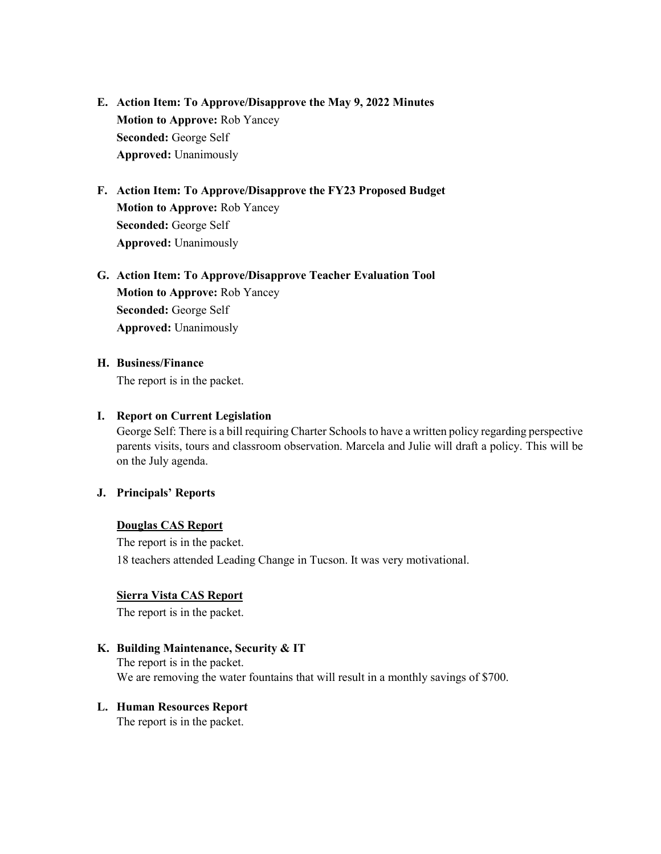- **E. Action Item: To Approve/Disapprove the May 9, 2022 Minutes Motion to Approve:** Rob Yancey **Seconded:** George Self **Approved:** Unanimously
- **F. Action Item: To Approve/Disapprove the FY23 Proposed Budget Motion to Approve:** Rob Yancey **Seconded:** George Self **Approved:** Unanimously
- **G. Action Item: To Approve/Disapprove Teacher Evaluation Tool Motion to Approve:** Rob Yancey **Seconded:** George Self **Approved:** Unanimously

#### **H. Business/Finance**

The report is in the packet.

#### **I. Report on Current Legislation**

George Self: There is a bill requiring Charter Schools to have a written policy regarding perspective parents visits, tours and classroom observation. Marcela and Julie will draft a policy. This will be on the July agenda.

#### **J. Principals' Reports**

#### **Douglas CAS Report**

The report is in the packet. 18 teachers attended Leading Change in Tucson. It was very motivational.

#### **Sierra Vista CAS Report**

The report is in the packet.

#### **K. Building Maintenance, Security & IT**

The report is in the packet. We are removing the water fountains that will result in a monthly savings of \$700.

#### **L. Human Resources Report**

The report is in the packet.